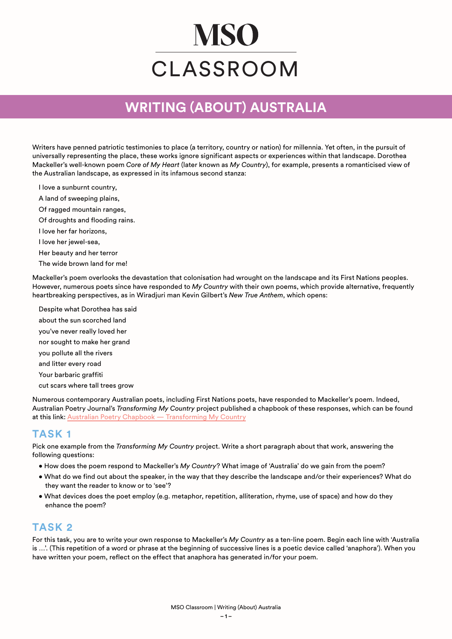# **MSO** CLASSROOM

## **WRITING (ABOUT) AUSTRALIA**

Writers have penned patriotic testimonies to place (a territory, country or nation) for millennia. Yet often, in the pursuit of universally representing the place, these works ignore significant aspects or experiences within that landscape. Dorothea Mackeller's well-known poem *Core of My Heart* (later known as *My Country*), for example, presents a romanticised view of the Australian landscape, as expressed in its infamous second stanza:

I love a sunburnt country,

A land of sweeping plains,

Of ragged mountain ranges,

Of droughts and flooding rains.

I love her far horizons,

I love her jewel-sea,

Her beauty and her terror

The wide brown land for me!

Mackeller's poem overlooks the devastation that colonisation had wrought on the landscape and its First Nations peoples. However, numerous poets since have responded to *My Country* with their own poems, which provide alternative, frequently heartbreaking perspectives, as in Wiradjuri man Kevin Gilbert's *New True Anthem*, which opens:

Despite what Dorothea has said about the sun scorched land you've never really loved her nor sought to make her grand

you pollute all the rivers

and litter every road

Your barbaric graffiti

cut scars where tall trees grow

Numerous contemporary Australian poets, including First Nations poets, have responded to Mackeller's poem. Indeed, Australian Poetry Journal's *Transforming My Country* project published a chapbook of these responses, which can be found at this link: [Australian Poetry Chapbook — Transforming My Country](http://emergingwritersfestival.org.au/wp-content/uploads/2021/06/Transforming-My-Country_AP2021.pdf)

#### **TASK 1**

Pick one example from the *Transforming My Country* project. Write a short paragraph about that work, answering the following questions:

- How does the poem respond to Mackeller's *My Country*? What image of 'Australia' do we gain from the poem?
- What do we find out about the speaker, in the way that they describe the landscape and/or their experiences? What do they want the reader to know or to 'see'?
- What devices does the poet employ (e.g. metaphor, repetition, alliteration, rhyme, use of space) and how do they enhance the poem?

#### **TASK 2**

For this task, you are to write your own response to Mackeller's *My Country* as a ten-line poem. Begin each line with 'Australia is …'. (This repetition of a word or phrase at the beginning of successive lines is a poetic device called 'anaphora'). When you have written your poem, reflect on the effect that anaphora has generated in/for your poem.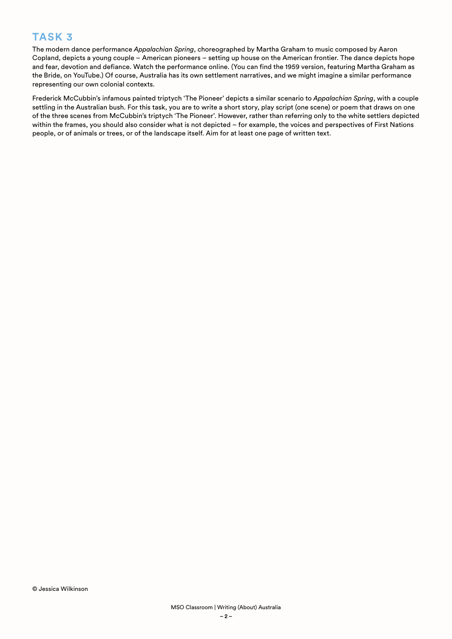### **TASK 3**

The modern dance performance *Appalachian Spring*, choreographed by Martha Graham to music composed by Aaron Copland, depicts a young couple – American pioneers – setting up house on the American frontier. The dance depicts hope and fear, devotion and defiance. Watch the performance online. (You can find the 1959 version, featuring Martha Graham as the Bride, on YouTube.) Of course, Australia has its own settlement narratives, and we might imagine a similar performance representing our own colonial contexts.

Frederick McCubbin's infamous painted triptych 'The Pioneer' depicts a similar scenario to *Appalachian Spring*, with a couple settling in the Australian bush. For this task, you are to write a short story, play script (one scene) or poem that draws on one of the three scenes from McCubbin's triptych 'The Pioneer'. However, rather than referring only to the white settlers depicted within the frames, you should also consider what is not depicted – for example, the voices and perspectives of First Nations people, or of animals or trees, or of the landscape itself. Aim for at least one page of written text.